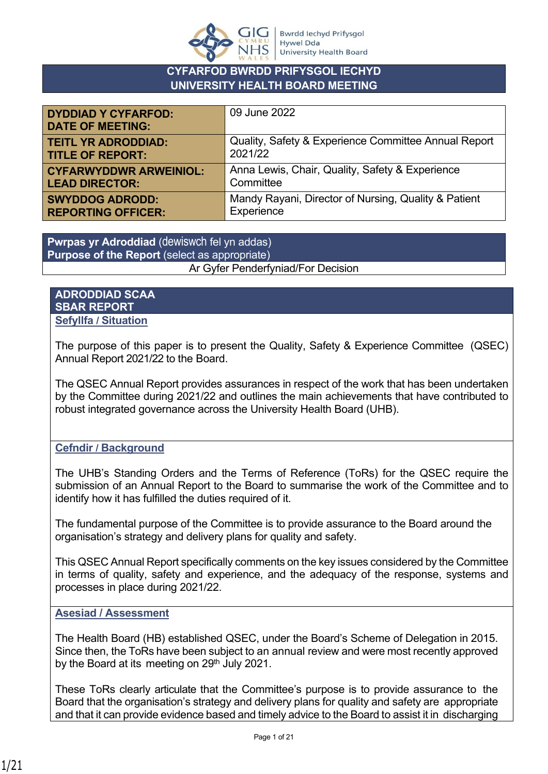

#### **CYFARFOD BWRDD PRIFYSGOL IECHYD UNIVERSITY HEALTH BOARD MEETING**

| <b>DYDDIAD Y CYFARFOD:</b><br><b>DATE OF MEETING:</b> | 09 June 2022                                         |
|-------------------------------------------------------|------------------------------------------------------|
| <b>TEITL YR ADRODDIAD:</b>                            | Quality, Safety & Experience Committee Annual Report |
| <b>TITLE OF REPORT:</b>                               | 2021/22                                              |
| <b>CYFARWYDDWR ARWEINIOL:</b>                         | Anna Lewis, Chair, Quality, Safety & Experience      |
| <b>LEAD DIRECTOR:</b>                                 | Committee                                            |
| <b>SWYDDOG ADRODD:</b>                                | Mandy Rayani, Director of Nursing, Quality & Patient |
| <b>REPORTING OFFICER:</b>                             | Experience                                           |

**Pwrpas yr Adroddiad** (dewiswch fel yn addas) **Purpose of the Report** (select as appropriate) Ar Gyfer Penderfyniad/For Decision

**ADRODDIAD SCAA SBAR REPORT Sefyllfa / Situation** 

The purpose of this paper is to present the Quality, Safety & Experience Committee (QSEC) Annual Report 2021/22 to the Board.

The QSEC Annual Report provides assurances in respect of the work that has been undertaken by the Committee during 2021/22 and outlines the main achievements that have contributed to robust integrated governance across the University Health Board (UHB).

**Cefndir / Background**

The UHB's Standing Orders and the Terms of Reference (ToRs) for the QSEC require the submission of an Annual Report to the Board to summarise the work of the Committee and to identify how it has fulfilled the duties required of it.

The fundamental purpose of the Committee is to provide assurance to the Board around the organisation's strategy and delivery plans for quality and safety.

This QSEC Annual Report specifically comments on the key issues considered by the Committee in terms of quality, safety and experience, and the adequacy of the response, systems and processes in place during 2021/22.

#### **Asesiad / Assessment**

The Health Board (HB) established QSEC, under the Board's Scheme of Delegation in 2015. Since then, the ToRs have been subject to an annual review and were most recently approved by the Board at its meeting on 29<sup>th</sup> July 2021.

These ToRs clearly articulate that the Committee's purpose is to provide assurance to the Board that the organisation's strategy and delivery plans for quality and safety are appropriate and that it can provide evidence based and timely advice to the Board to assist it in discharging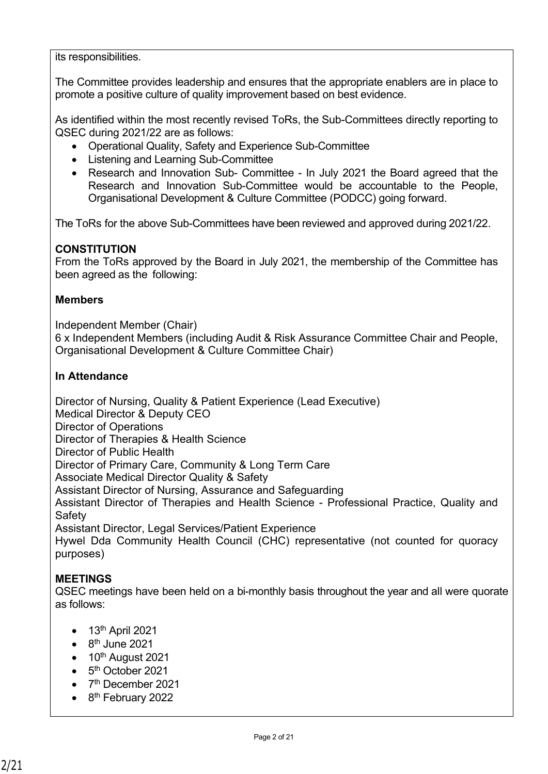its responsibilities.

The Committee provides leadership and ensures that the appropriate enablers are in place to promote a positive culture of quality improvement based on best evidence.

As identified within the most recently revised ToRs, the Sub-Committees directly reporting to QSEC during 2021/22 are as follows:

- Operational Quality, Safety and Experience Sub-Committee
- Listening and Learning Sub-Committee
- Research and Innovation Sub- Committee In July 2021 the Board agreed that the Research and Innovation Sub-Committee would be accountable to the People, Organisational Development & Culture Committee (PODCC) going forward.

The ToRs for the above Sub-Committees have been reviewed and approved during 2021/22.

## **CONSTITUTION**

From the ToRs approved by the Board in July 2021, the membership of the Committee has been agreed as the following:

#### **Members**

Independent Member (Chair) 6 x Independent Members (including Audit & Risk Assurance Committee Chair and People, Organisational Development & Culture Committee Chair)

#### **In Attendance**

Director of Nursing, Quality & Patient Experience (Lead Executive)

Medical Director & Deputy CEO

Director of Operations

Director of Therapies & Health Science

Director of Public Health

Director of Primary Care, Community & Long Term Care

Associate Medical Director Quality & Safety

Assistant Director of Nursing, Assurance and Safeguarding

Assistant Director of Therapies and Health Science - Professional Practice, Quality and **Safety** 

Assistant Director, Legal Services/Patient Experience

Hywel Dda Community Health Council (CHC) representative (not counted for quoracy purposes)

## **MEETINGS**

QSEC meetings have been held on a bi-monthly basis throughout the year and all were quorate as follows:

- $\bullet$  13<sup>th</sup> April 2021
- $\bullet$  8<sup>th</sup> June 2021
- $\bullet$  10<sup>th</sup> August 2021
- 5<sup>th</sup> October 2021
- 7<sup>th</sup> December 2021
- 8<sup>th</sup> February 2022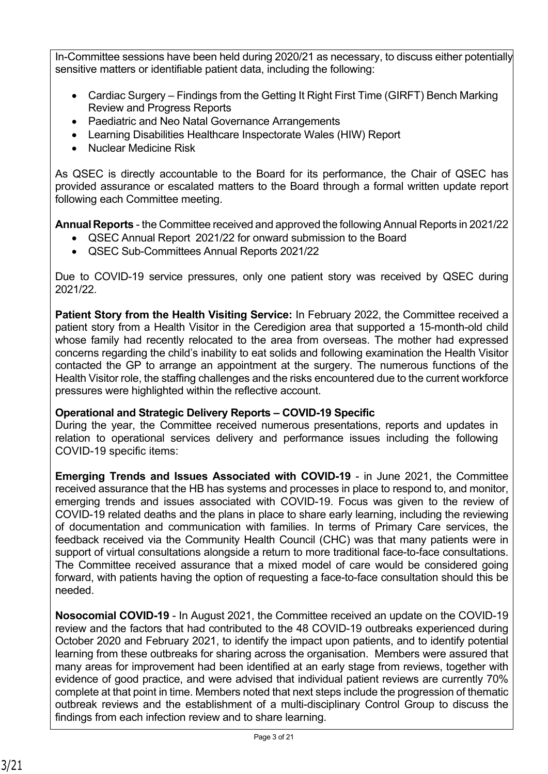In-Committee sessions have been held during 2020/21 as necessary, to discuss either potentially sensitive matters or identifiable patient data, including the following:

- Cardiac Surgery Findings from the Getting It Right First Time (GIRFT) Bench Marking Review and Progress Reports
- Paediatric and Neo Natal Governance Arrangements
- Learning Disabilities Healthcare Inspectorate Wales (HIW) Report
- Nuclear Medicine Risk

As QSEC is directly accountable to the Board for its performance, the Chair of QSEC has provided assurance or escalated matters to the Board through a formal written update report following each Committee meeting.

**Annual Reports** - the Committee received and approved the following Annual Reports in 2021/22

- QSEC Annual Report 2021/22 for onward submission to the Board
- QSEC Sub-Committees Annual Reports 2021/22

Due to COVID-19 service pressures, only one patient story was received by QSEC during 2021/22.

**Patient Story from the Health Visiting Service:** In February 2022, the Committee received a patient story from a Health Visitor in the Ceredigion area that supported a 15-month-old child whose family had recently relocated to the area from overseas. The mother had expressed concerns regarding the child's inability to eat solids and following examination the Health Visitor contacted the GP to arrange an appointment at the surgery. The numerous functions of the Health Visitor role, the staffing challenges and the risks encountered due to the current workforce pressures were highlighted within the reflective account.

# **Operational and Strategic Delivery Reports – COVID-19 Specific**

During the year, the Committee received numerous presentations, reports and updates in relation to operational services delivery and performance issues including the following COVID-19 specific items:

**Emerging Trends and Issues Associated with COVID-19** - in June 2021, the Committee received assurance that the HB has systems and processes in place to respond to, and monitor, emerging trends and issues associated with COVID-19. Focus was given to the review of COVID-19 related deaths and the plans in place to share early learning, including the reviewing of documentation and communication with families. In terms of Primary Care services, the feedback received via the Community Health Council (CHC) was that many patients were in support of virtual consultations alongside a return to more traditional face-to-face consultations. The Committee received assurance that a mixed model of care would be considered going forward, with patients having the option of requesting a face-to-face consultation should this be needed.

**Nosocomial COVID-19** - In August 2021, the Committee received an update on the COVID-19 review and the factors that had contributed to the 48 COVID-19 outbreaks experienced during October 2020 and February 2021, to identify the impact upon patients, and to identify potential learning from these outbreaks for sharing across the organisation. Members were assured that many areas for improvement had been identified at an early stage from reviews, together with evidence of good practice, and were advised that individual patient reviews are currently 70% complete at that point in time. Members noted that next steps include the progression of thematic outbreak reviews and the establishment of a multi-disciplinary Control Group to discuss the findings from each infection review and to share learning.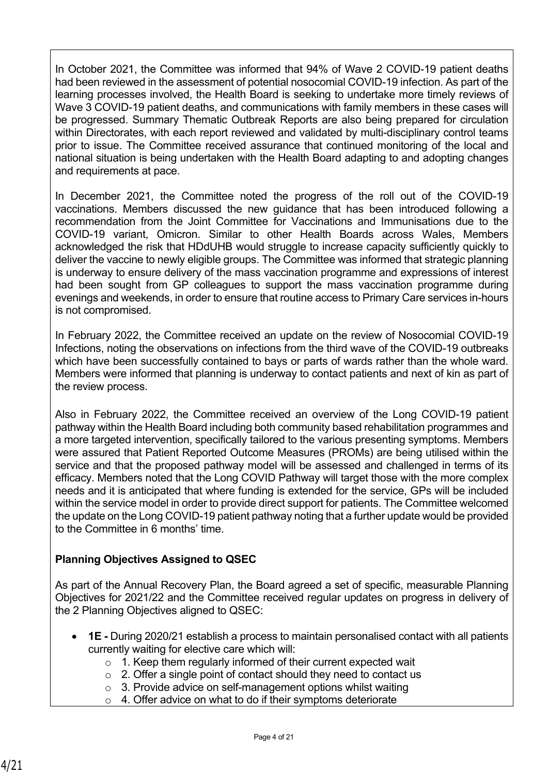In October 2021, the Committee was informed that 94% of Wave 2 COVID-19 patient deaths had been reviewed in the assessment of potential nosocomial COVID-19 infection. As part of the learning processes involved, the Health Board is seeking to undertake more timely reviews of Wave 3 COVID-19 patient deaths, and communications with family members in these cases will be progressed. Summary Thematic Outbreak Reports are also being prepared for circulation within Directorates, with each report reviewed and validated by multi-disciplinary control teams prior to issue. The Committee received assurance that continued monitoring of the local and national situation is being undertaken with the Health Board adapting to and adopting changes and requirements at pace.

In December 2021, the Committee noted the progress of the roll out of the COVID-19 vaccinations. Members discussed the new guidance that has been introduced following a recommendation from the Joint Committee for Vaccinations and Immunisations due to the COVID-19 variant, Omicron. Similar to other Health Boards across Wales, Members acknowledged the risk that HDdUHB would struggle to increase capacity sufficiently quickly to deliver the vaccine to newly eligible groups. The Committee was informed that strategic planning is underway to ensure delivery of the mass vaccination programme and expressions of interest had been sought from GP colleagues to support the mass vaccination programme during evenings and weekends, in order to ensure that routine access to Primary Care services in-hours is not compromised.

In February 2022, the Committee received an update on the review of Nosocomial COVID-19 Infections, noting the observations on infections from the third wave of the COVID-19 outbreaks which have been successfully contained to bays or parts of wards rather than the whole ward. Members were informed that planning is underway to contact patients and next of kin as part of the review process.

Also in February 2022, the Committee received an overview of the Long COVID-19 patient pathway within the Health Board including both community based rehabilitation programmes and a more targeted intervention, specifically tailored to the various presenting symptoms. Members were assured that Patient Reported Outcome Measures (PROMs) are being utilised within the service and that the proposed pathway model will be assessed and challenged in terms of its efficacy. Members noted that the Long COVID Pathway will target those with the more complex needs and it is anticipated that where funding is extended for the service, GPs will be included within the service model in order to provide direct support for patients. The Committee welcomed the update on the Long COVID-19 patient pathway noting that a further update would be provided to the Committee in 6 months' time.

# **Planning Objectives Assigned to QSEC**

As part of the Annual Recovery Plan, the Board agreed a set of specific, measurable Planning Objectives for 2021/22 and the Committee received regular updates on progress in delivery of the 2 Planning Objectives aligned to QSEC:

- **1E -** During 2020/21 establish a process to maintain personalised contact with all patients currently waiting for elective care which will:
	- o 1. Keep them regularly informed of their current expected wait
	- o 2. Offer a single point of contact should they need to contact us
	- o 3. Provide advice on self-management options whilst waiting
	- o 4. Offer advice on what to do if their symptoms deteriorate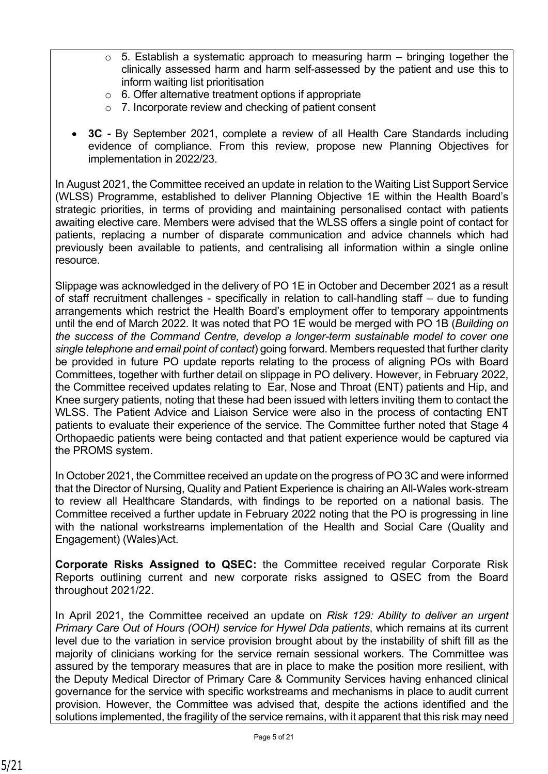- $\circ$  5. Establish a systematic approach to measuring harm bringing together the clinically assessed harm and harm self-assessed by the patient and use this to inform waiting list prioritisation
- $\circ$  6. Offer alternative treatment options if appropriate
- o 7. Incorporate review and checking of patient consent
- **3C** By September 2021, complete a review of all Health Care Standards including evidence of compliance. From this review, propose new Planning Objectives for implementation in 2022/23.

In August 2021, the Committee received an update in relation to the Waiting List Support Service (WLSS) Programme, established to deliver Planning Objective 1E within the Health Board's strategic priorities, in terms of providing and maintaining personalised contact with patients awaiting elective care. Members were advised that the WLSS offers a single point of contact for patients, replacing a number of disparate communication and advice channels which had previously been available to patients, and centralising all information within a single online resource.

Slippage was acknowledged in the delivery of PO 1E in October and December 2021 as a result of staff recruitment challenges - specifically in relation to call-handling staff – due to funding arrangements which restrict the Health Board's employment offer to temporary appointments until the end of March 2022. It was noted that PO 1E would be merged with PO 1B (*Building on the success of the Command Centre, develop a longer-term sustainable model to cover one single telephone and email point of contact*) going forward. Members requested that further clarity be provided in future PO update reports relating to the process of aligning POs with Board Committees, together with further detail on slippage in PO delivery. However, in February 2022, the Committee received updates relating to Ear, Nose and Throat (ENT) patients and Hip, and Knee surgery patients, noting that these had been issued with letters inviting them to contact the WLSS. The Patient Advice and Liaison Service were also in the process of contacting ENT patients to evaluate their experience of the service. The Committee further noted that Stage 4 Orthopaedic patients were being contacted and that patient experience would be captured via the PROMS system.

In October 2021, the Committee received an update on the progress of PO 3C and were informed that the Director of Nursing, Quality and Patient Experience is chairing an All-Wales work-stream to review all Healthcare Standards, with findings to be reported on a national basis. The Committee received a further update in February 2022 noting that the PO is progressing in line with the national workstreams implementation of the Health and Social Care (Quality and Engagement) (Wales)Act.

**Corporate Risks Assigned to QSEC:** the Committee received regular Corporate Risk Reports outlining current and new corporate risks assigned to QSEC from the Board throughout 2021/22.

In April 2021, the Committee received an update on *Risk 129: Ability to deliver an urgent Primary Care Out of Hours (OOH) service for Hywel Dda patients*, which remains at its current level due to the variation in service provision brought about by the instability of shift fill as the majority of clinicians working for the service remain sessional workers. The Committee was assured by the temporary measures that are in place to make the position more resilient, with the Deputy Medical Director of Primary Care & Community Services having enhanced clinical governance for the service with specific workstreams and mechanisms in place to audit current provision. However, the Committee was advised that, despite the actions identified and the solutions implemented, the fragility of the service remains, with it apparent that this risk may need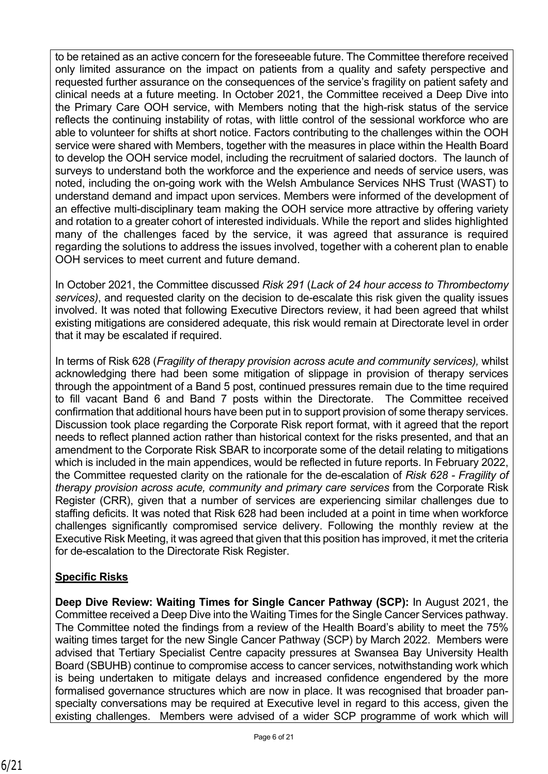to be retained as an active concern for the foreseeable future. The Committee therefore received only limited assurance on the impact on patients from a quality and safety perspective and requested further assurance on the consequences of the service's fragility on patient safety and clinical needs at a future meeting. In October 2021, the Committee received a Deep Dive into the Primary Care OOH service, with Members noting that the high-risk status of the service reflects the continuing instability of rotas, with little control of the sessional workforce who are able to volunteer for shifts at short notice. Factors contributing to the challenges within the OOH service were shared with Members, together with the measures in place within the Health Board to develop the OOH service model, including the recruitment of salaried doctors. The launch of surveys to understand both the workforce and the experience and needs of service users, was noted, including the on-going work with the Welsh Ambulance Services NHS Trust (WAST) to understand demand and impact upon services. Members were informed of the development of an effective multi-disciplinary team making the OOH service more attractive by offering variety and rotation to a greater cohort of interested individuals. While the report and slides highlighted many of the challenges faced by the service, it was agreed that assurance is required regarding the solutions to address the issues involved, together with a coherent plan to enable OOH services to meet current and future demand.

In October 2021, the Committee discussed *Risk 291* (*Lack of 24 hour access to Thrombectomy services)*, and requested clarity on the decision to de-escalate this risk given the quality issues involved. It was noted that following Executive Directors review, it had been agreed that whilst existing mitigations are considered adequate, this risk would remain at Directorate level in order that it may be escalated if required.

In terms of Risk 628 (*Fragility of therapy provision across acute and community services),* whilst acknowledging there had been some mitigation of slippage in provision of therapy services through the appointment of a Band 5 post, continued pressures remain due to the time required to fill vacant Band 6 and Band 7 posts within the Directorate. The Committee received confirmation that additional hours have been put in to support provision of some therapy services. Discussion took place regarding the Corporate Risk report format, with it agreed that the report needs to reflect planned action rather than historical context for the risks presented, and that an amendment to the Corporate Risk SBAR to incorporate some of the detail relating to mitigations which is included in the main appendices, would be reflected in future reports. In February 2022, the Committee requested clarity on the rationale for the de-escalation of *Risk 628 - Fragility of therapy provision across acute, community and primary care services* from the Corporate Risk Register (CRR), given that a number of services are experiencing similar challenges due to staffing deficits. It was noted that Risk 628 had been included at a point in time when workforce challenges significantly compromised service delivery. Following the monthly review at the Executive Risk Meeting, it was agreed that given that this position has improved, it met the criteria for de-escalation to the Directorate Risk Register.

# **Specific Risks**

**Deep Dive Review: Waiting Times for Single Cancer Pathway (SCP):** In August 2021, the Committee received a Deep Dive into the Waiting Times for the Single Cancer Services pathway. The Committee noted the findings from a review of the Health Board's ability to meet the 75% waiting times target for the new Single Cancer Pathway (SCP) by March 2022. Members were advised that Tertiary Specialist Centre capacity pressures at Swansea Bay University Health Board (SBUHB) continue to compromise access to cancer services, notwithstanding work which is being undertaken to mitigate delays and increased confidence engendered by the more formalised governance structures which are now in place. It was recognised that broader panspecialty conversations may be required at Executive level in regard to this access, given the existing challenges. Members were advised of a wider SCP programme of work which will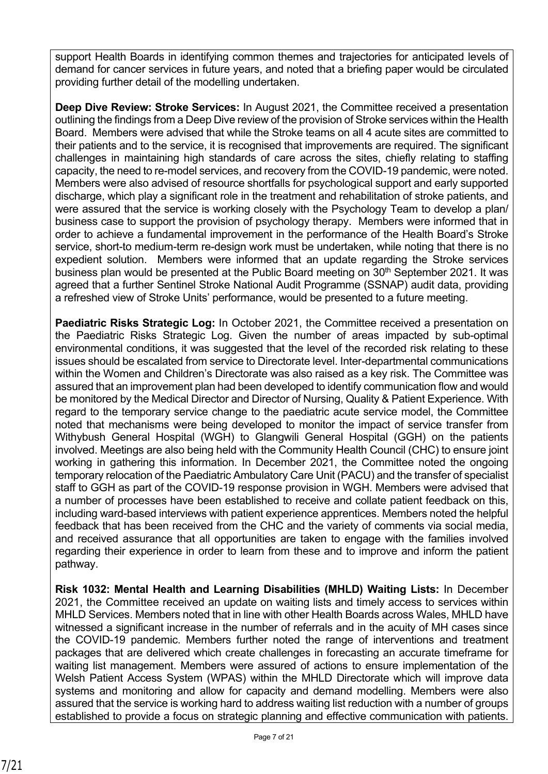support Health Boards in identifying common themes and trajectories for anticipated levels of demand for cancer services in future years, and noted that a briefing paper would be circulated providing further detail of the modelling undertaken.

**Deep Dive Review: Stroke Services:** In August 2021, the Committee received a presentation outlining the findings from a Deep Dive review of the provision of Stroke services within the Health Board. Members were advised that while the Stroke teams on all 4 acute sites are committed to their patients and to the service, it is recognised that improvements are required. The significant challenges in maintaining high standards of care across the sites, chiefly relating to staffing capacity, the need to re-model services, and recovery from the COVID-19 pandemic, were noted. Members were also advised of resource shortfalls for psychological support and early supported discharge, which play a significant role in the treatment and rehabilitation of stroke patients, and were assured that the service is working closely with the Psychology Team to develop a plan/ business case to support the provision of psychology therapy. Members were informed that in order to achieve a fundamental improvement in the performance of the Health Board's Stroke service, short-to medium-term re-design work must be undertaken, while noting that there is no expedient solution. Members were informed that an update regarding the Stroke services business plan would be presented at the Public Board meeting on 30<sup>th</sup> September 2021. It was agreed that a further Sentinel Stroke National Audit Programme (SSNAP) audit data, providing a refreshed view of Stroke Units' performance, would be presented to a future meeting.

**Paediatric Risks Strategic Log:** In October 2021, the Committee received a presentation on the Paediatric Risks Strategic Log. Given the number of areas impacted by sub-optimal environmental conditions, it was suggested that the level of the recorded risk relating to these issues should be escalated from service to Directorate level. Inter-departmental communications within the Women and Children's Directorate was also raised as a key risk. The Committee was assured that an improvement plan had been developed to identify communication flow and would be monitored by the Medical Director and Director of Nursing, Quality & Patient Experience. With regard to the temporary service change to the paediatric acute service model, the Committee noted that mechanisms were being developed to monitor the impact of service transfer from Withybush General Hospital (WGH) to Glangwili General Hospital (GGH) on the patients involved. Meetings are also being held with the Community Health Council (CHC) to ensure joint working in gathering this information. In December 2021, the Committee noted the ongoing temporary relocation of the Paediatric Ambulatory Care Unit (PACU) and the transfer of specialist staff to GGH as part of the COVID-19 response provision in WGH. Members were advised that a number of processes have been established to receive and collate patient feedback on this, including ward-based interviews with patient experience apprentices. Members noted the helpful feedback that has been received from the CHC and the variety of comments via social media, and received assurance that all opportunities are taken to engage with the families involved regarding their experience in order to learn from these and to improve and inform the patient pathway.

**Risk 1032: Mental Health and Learning Disabilities (MHLD) Waiting Lists:** In December 2021, the Committee received an update on waiting lists and timely access to services within MHLD Services. Members noted that in line with other Health Boards across Wales, MHLD have witnessed a significant increase in the number of referrals and in the acuity of MH cases since the COVID-19 pandemic. Members further noted the range of interventions and treatment packages that are delivered which create challenges in forecasting an accurate timeframe for waiting list management. Members were assured of actions to ensure implementation of the Welsh Patient Access System (WPAS) within the MHLD Directorate which will improve data systems and monitoring and allow for capacity and demand modelling. Members were also assured that the service is working hard to address waiting list reduction with a number of groups established to provide a focus on strategic planning and effective communication with patients.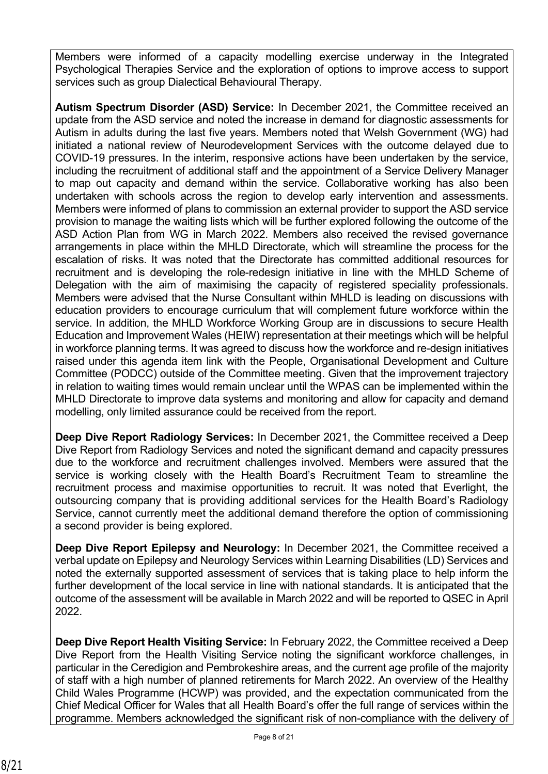Members were informed of a capacity modelling exercise underway in the Integrated Psychological Therapies Service and the exploration of options to improve access to support services such as group Dialectical Behavioural Therapy.

**Autism Spectrum Disorder (ASD) Service:** In December 2021, the Committee received an update from the ASD service and noted the increase in demand for diagnostic assessments for Autism in adults during the last five years. Members noted that Welsh Government (WG) had initiated a national review of Neurodevelopment Services with the outcome delayed due to COVID-19 pressures. In the interim, responsive actions have been undertaken by the service, including the recruitment of additional staff and the appointment of a Service Delivery Manager to map out capacity and demand within the service. Collaborative working has also been undertaken with schools across the region to develop early intervention and assessments. Members were informed of plans to commission an external provider to support the ASD service provision to manage the waiting lists which will be further explored following the outcome of the ASD Action Plan from WG in March 2022. Members also received the revised governance arrangements in place within the MHLD Directorate, which will streamline the process for the escalation of risks. It was noted that the Directorate has committed additional resources for recruitment and is developing the role-redesign initiative in line with the MHLD Scheme of Delegation with the aim of maximising the capacity of registered speciality professionals. Members were advised that the Nurse Consultant within MHLD is leading on discussions with education providers to encourage curriculum that will complement future workforce within the service. In addition, the MHLD Workforce Working Group are in discussions to secure Health Education and Improvement Wales (HEIW) representation at their meetings which will be helpful in workforce planning terms. It was agreed to discuss how the workforce and re-design initiatives raised under this agenda item link with the People, Organisational Development and Culture Committee (PODCC) outside of the Committee meeting. Given that the improvement trajectory in relation to waiting times would remain unclear until the WPAS can be implemented within the MHLD Directorate to improve data systems and monitoring and allow for capacity and demand modelling, only limited assurance could be received from the report.

**Deep Dive Report Radiology Services:** In December 2021, the Committee received a Deep Dive Report from Radiology Services and noted the significant demand and capacity pressures due to the workforce and recruitment challenges involved. Members were assured that the service is working closely with the Health Board's Recruitment Team to streamline the recruitment process and maximise opportunities to recruit. It was noted that Everlight, the outsourcing company that is providing additional services for the Health Board's Radiology Service, cannot currently meet the additional demand therefore the option of commissioning a second provider is being explored.

**Deep Dive Report Epilepsy and Neurology:** In December 2021, the Committee received a verbal update on Epilepsy and Neurology Services within Learning Disabilities (LD) Services and noted the externally supported assessment of services that is taking place to help inform the further development of the local service in line with national standards. It is anticipated that the outcome of the assessment will be available in March 2022 and will be reported to QSEC in April 2022.

**Deep Dive Report Health Visiting Service:** In February 2022, the Committee received a Deep Dive Report from the Health Visiting Service noting the significant workforce challenges, in particular in the Ceredigion and Pembrokeshire areas, and the current age profile of the majority of staff with a high number of planned retirements for March 2022. An overview of the Healthy Child Wales Programme (HCWP) was provided, and the expectation communicated from the Chief Medical Officer for Wales that all Health Board's offer the full range of services within the programme. Members acknowledged the significant risk of non-compliance with the delivery of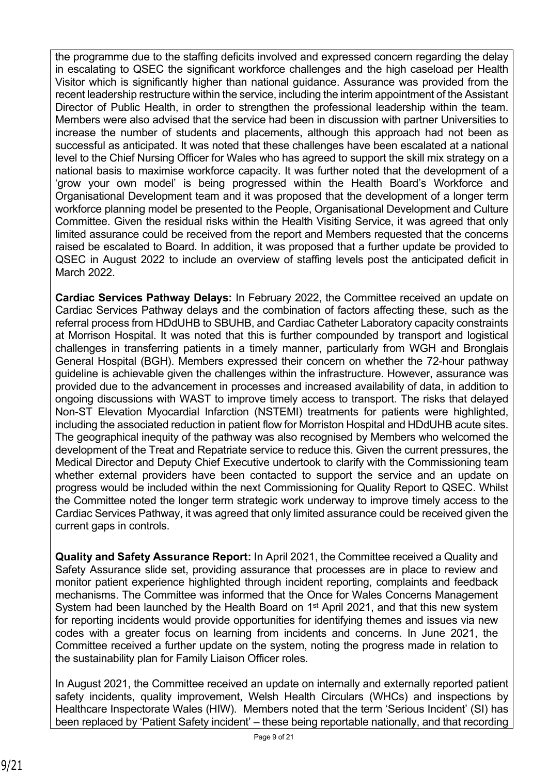the programme due to the staffing deficits involved and expressed concern regarding the delay in escalating to QSEC the significant workforce challenges and the high caseload per Health Visitor which is significantly higher than national guidance. Assurance was provided from the recent leadership restructure within the service, including the interim appointment of the Assistant Director of Public Health, in order to strengthen the professional leadership within the team. Members were also advised that the service had been in discussion with partner Universities to increase the number of students and placements, although this approach had not been as successful as anticipated. It was noted that these challenges have been escalated at a national level to the Chief Nursing Officer for Wales who has agreed to support the skill mix strategy on a national basis to maximise workforce capacity. It was further noted that the development of a 'grow your own model' is being progressed within the Health Board's Workforce and Organisational Development team and it was proposed that the development of a longer term workforce planning model be presented to the People, Organisational Development and Culture Committee. Given the residual risks within the Health Visiting Service, it was agreed that only limited assurance could be received from the report and Members requested that the concerns raised be escalated to Board. In addition, it was proposed that a further update be provided to QSEC in August 2022 to include an overview of staffing levels post the anticipated deficit in March 2022.

**Cardiac Services Pathway Delays:** In February 2022, the Committee received an update on Cardiac Services Pathway delays and the combination of factors affecting these, such as the referral process from HDdUHB to SBUHB, and Cardiac Catheter Laboratory capacity constraints at Morrison Hospital. It was noted that this is further compounded by transport and logistical challenges in transferring patients in a timely manner, particularly from WGH and Bronglais General Hospital (BGH). Members expressed their concern on whether the 72-hour pathway guideline is achievable given the challenges within the infrastructure. However, assurance was provided due to the advancement in processes and increased availability of data, in addition to ongoing discussions with WAST to improve timely access to transport. The risks that delayed Non-ST Elevation Myocardial Infarction (NSTEMI) treatments for patients were highlighted, including the associated reduction in patient flow for Morriston Hospital and HDdUHB acute sites. The geographical inequity of the pathway was also recognised by Members who welcomed the development of the Treat and Repatriate service to reduce this. Given the current pressures, the Medical Director and Deputy Chief Executive undertook to clarify with the Commissioning team whether external providers have been contacted to support the service and an update on progress would be included within the next Commissioning for Quality Report to QSEC. Whilst the Committee noted the longer term strategic work underway to improve timely access to the Cardiac Services Pathway, it was agreed that only limited assurance could be received given the current gaps in controls.

**Quality and Safety Assurance Report:** In April 2021, the Committee received a Quality and Safety Assurance slide set, providing assurance that processes are in place to review and monitor patient experience highlighted through incident reporting, complaints and feedback mechanisms. The Committee was informed that the Once for Wales Concerns Management System had been launched by the Health Board on 1<sup>st</sup> April 2021, and that this new system for reporting incidents would provide opportunities for identifying themes and issues via new codes with a greater focus on learning from incidents and concerns. In June 2021, the Committee received a further update on the system, noting the progress made in relation to the sustainability plan for Family Liaison Officer roles.

In August 2021, the Committee received an update on internally and externally reported patient safety incidents, quality improvement, Welsh Health Circulars (WHCs) and inspections by Healthcare Inspectorate Wales (HIW). Members noted that the term 'Serious Incident' (SI) has been replaced by 'Patient Safety incident' – these being reportable nationally, and that recording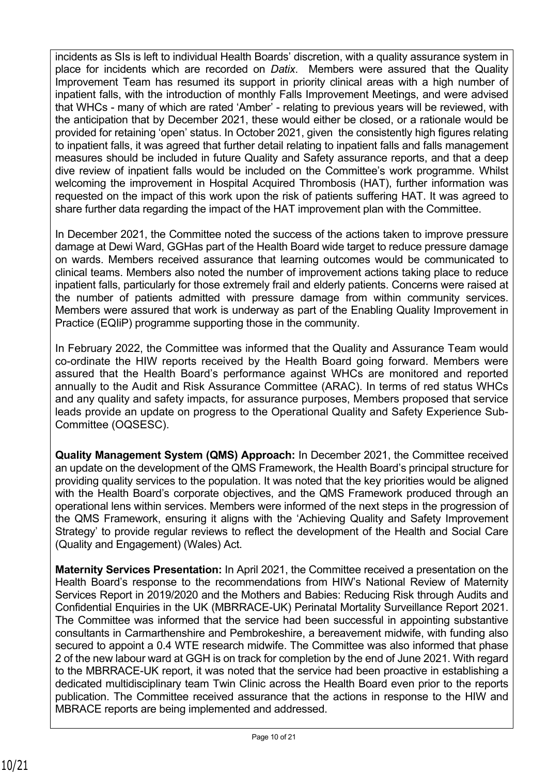incidents as SIs is left to individual Health Boards' discretion, with a quality assurance system in place for incidents which are recorded on *Datix*. Members were assured that the Quality Improvement Team has resumed its support in priority clinical areas with a high number of inpatient falls, with the introduction of monthly Falls Improvement Meetings, and were advised that WHCs - many of which are rated 'Amber' - relating to previous years will be reviewed, with the anticipation that by December 2021, these would either be closed, or a rationale would be provided for retaining 'open' status. In October 2021, given the consistently high figures relating to inpatient falls, it was agreed that further detail relating to inpatient falls and falls management measures should be included in future Quality and Safety assurance reports, and that a deep dive review of inpatient falls would be included on the Committee's work programme. Whilst welcoming the improvement in Hospital Acquired Thrombosis (HAT), further information was requested on the impact of this work upon the risk of patients suffering HAT. It was agreed to share further data regarding the impact of the HAT improvement plan with the Committee.

In December 2021, the Committee noted the success of the actions taken to improve pressure damage at Dewi Ward, GGHas part of the Health Board wide target to reduce pressure damage on wards. Members received assurance that learning outcomes would be communicated to clinical teams. Members also noted the number of improvement actions taking place to reduce inpatient falls, particularly for those extremely frail and elderly patients. Concerns were raised at the number of patients admitted with pressure damage from within community services. Members were assured that work is underway as part of the Enabling Quality Improvement in Practice (EQIiP) programme supporting those in the community.

In February 2022, the Committee was informed that the Quality and Assurance Team would co-ordinate the HIW reports received by the Health Board going forward. Members were assured that the Health Board's performance against WHCs are monitored and reported annually to the Audit and Risk Assurance Committee (ARAC). In terms of red status WHCs and any quality and safety impacts, for assurance purposes, Members proposed that service leads provide an update on progress to the Operational Quality and Safety Experience Sub-Committee (OQSESC).

**Quality Management System (QMS) Approach:** In December 2021, the Committee received an update on the development of the QMS Framework, the Health Board's principal structure for providing quality services to the population. It was noted that the key priorities would be aligned with the Health Board's corporate objectives, and the QMS Framework produced through an operational lens within services. Members were informed of the next steps in the progression of the QMS Framework, ensuring it aligns with the 'Achieving Quality and Safety Improvement Strategy' to provide regular reviews to reflect the development of the Health and Social Care (Quality and Engagement) (Wales) Act.

**Maternity Services Presentation:** In April 2021, the Committee received a presentation on the Health Board's response to the recommendations from HIW's National Review of Maternity Services Report in 2019/2020 and the Mothers and Babies: Reducing Risk through Audits and Confidential Enquiries in the UK (MBRRACE-UK) Perinatal Mortality Surveillance Report 2021. The Committee was informed that the service had been successful in appointing substantive consultants in Carmarthenshire and Pembrokeshire, a bereavement midwife, with funding also secured to appoint a 0.4 WTE research midwife. The Committee was also informed that phase 2 of the new labour ward at GGH is on track for completion by the end of June 2021. With regard to the MBRRACE-UK report, it was noted that the service had been proactive in establishing a dedicated multidisciplinary team Twin Clinic across the Health Board even prior to the reports publication. The Committee received assurance that the actions in response to the HIW and MBRACE reports are being implemented and addressed.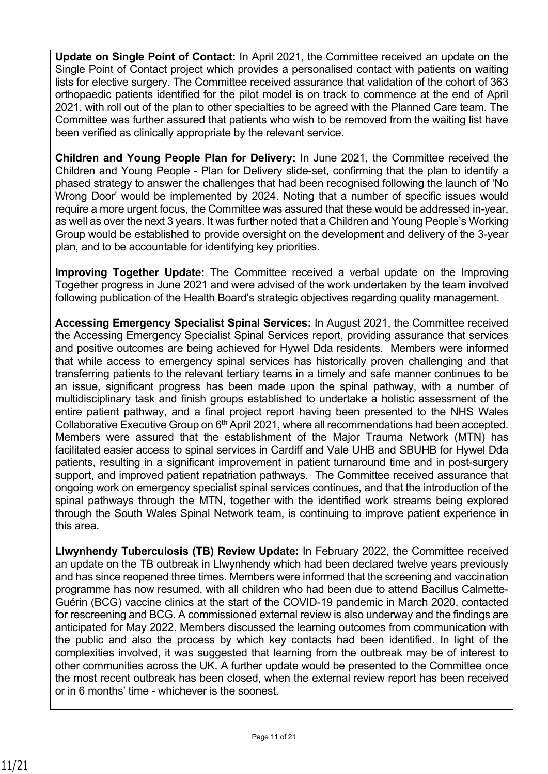**Update on Single Point of Contact:** In April 2021, the Committee received an update on the Single Point of Contact project which provides a personalised contact with patients on waiting lists for elective surgery. The Committee received assurance that validation of the cohort of 363 orthopaedic patients identified for the pilot model is on track to commence at the end of April 2021, with roll out of the plan to other specialties to be agreed with the Planned Care team. The Committee was further assured that patients who wish to be removed from the waiting list have been verified as clinically appropriate by the relevant service.

**Children and Young People Plan for Delivery:** In June 2021, the Committee received the Children and Young People - Plan for Delivery slide-set, confirming that the plan to identify a phased strategy to answer the challenges that had been recognised following the launch of 'No Wrong Door' would be implemented by 2024. Noting that a number of specific issues would require a more urgent focus, the Committee was assured that these would be addressed in-year, as well as over the next 3 years. It was further noted that a Children and Young People's Working Group would be established to provide oversight on the development and delivery of the 3-year plan, and to be accountable for identifying key priorities.

**Improving Together Update:** The Committee received a verbal update on the Improving Together progress in June 2021 and were advised of the work undertaken by the team involved following publication of the Health Board's strategic objectives regarding quality management.

**Accessing Emergency Specialist Spinal Services:** In August 2021, the Committee received the Accessing Emergency Specialist Spinal Services report, providing assurance that services and positive outcomes are being achieved for Hywel Dda residents. Members were informed that while access to emergency spinal services has historically proven challenging and that transferring patients to the relevant tertiary teams in a timely and safe manner continues to be an issue, significant progress has been made upon the spinal pathway, with a number of multidisciplinary task and finish groups established to undertake a holistic assessment of the entire patient pathway, and a final project report having been presented to the NHS Wales Collaborative Executive Group on 6<sup>th</sup> April 2021, where all recommendations had been accepted. Members were assured that the establishment of the Major Trauma Network (MTN) has facilitated easier access to spinal services in Cardiff and Vale UHB and SBUHB for Hywel Dda patients, resulting in a significant improvement in patient turnaround time and in post-surgery support, and improved patient repatriation pathways. The Committee received assurance that ongoing work on emergency specialist spinal services continues, and that the introduction of the spinal pathways through the MTN, together with the identified work streams being explored through the South Wales Spinal Network team, is continuing to improve patient experience in this area.

**Llwynhendy Tuberculosis (TB) Review Update:** In February 2022, the Committee received an update on the TB outbreak in Llwynhendy which had been declared twelve years previously and has since reopened three times. Members were informed that the screening and vaccination programme has now resumed, with all children who had been due to attend Bacillus Calmette-Guérin (BCG) vaccine clinics at the start of the COVID-19 pandemic in March 2020, contacted for rescreening and BCG. A commissioned external review is also underway and the findings are anticipated for May 2022. Members discussed the learning outcomes from communication with the public and also the process by which key contacts had been identified. In light of the complexities involved, it was suggested that learning from the outbreak may be of interest to other communities across the UK. A further update would be presented to the Committee once the most recent outbreak has been closed, when the external review report has been received or in 6 months' time - whichever is the soonest.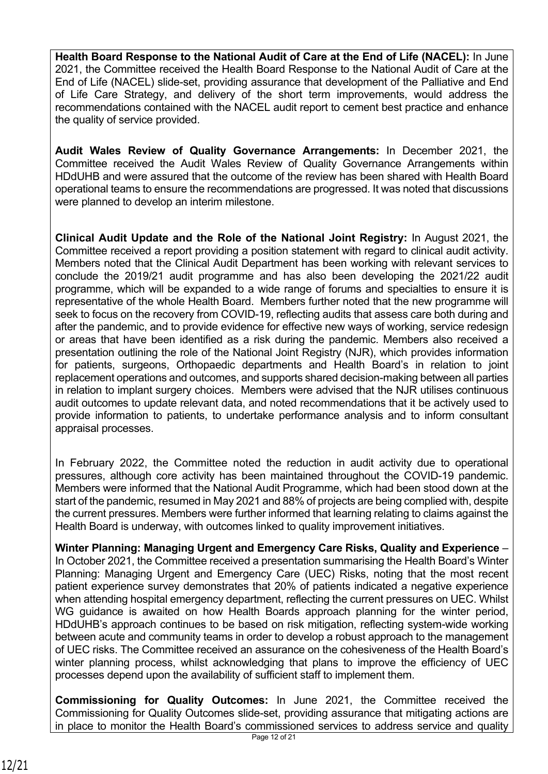**Health Board Response to the National Audit of Care at the End of Life (NACEL):** In June 2021, the Committee received the Health Board Response to the National Audit of Care at the End of Life (NACEL) slide-set, providing assurance that development of the Palliative and End of Life Care Strategy, and delivery of the short term improvements, would address the recommendations contained with the NACEL audit report to cement best practice and enhance the quality of service provided.

**Audit Wales Review of Quality Governance Arrangements:** In December 2021, the Committee received the Audit Wales Review of Quality Governance Arrangements within HDdUHB and were assured that the outcome of the review has been shared with Health Board operational teams to ensure the recommendations are progressed. It was noted that discussions were planned to develop an interim milestone.

**Clinical Audit Update and the Role of the National Joint Registry:** In August 2021, the Committee received a report providing a position statement with regard to clinical audit activity. Members noted that the Clinical Audit Department has been working with relevant services to conclude the 2019/21 audit programme and has also been developing the 2021/22 audit programme, which will be expanded to a wide range of forums and specialties to ensure it is representative of the whole Health Board. Members further noted that the new programme will seek to focus on the recovery from COVID-19, reflecting audits that assess care both during and after the pandemic, and to provide evidence for effective new ways of working, service redesign or areas that have been identified as a risk during the pandemic. Members also received a presentation outlining the role of the National Joint Registry (NJR), which provides information for patients, surgeons, Orthopaedic departments and Health Board's in relation to joint replacement operations and outcomes, and supports shared decision-making between all parties in relation to implant surgery choices. Members were advised that the NJR utilises continuous audit outcomes to update relevant data, and noted recommendations that it be actively used to provide information to patients, to undertake performance analysis and to inform consultant appraisal processes.

In February 2022, the Committee noted the reduction in audit activity due to operational pressures, although core activity has been maintained throughout the COVID-19 pandemic. Members were informed that the National Audit Programme, which had been stood down at the start of the pandemic, resumed in May 2021 and 88% of projects are being complied with, despite the current pressures. Members were further informed that learning relating to claims against the Health Board is underway, with outcomes linked to quality improvement initiatives.

**Winter Planning: Managing Urgent and Emergency Care Risks, Quality and Experience** – In October 2021, the Committee received a presentation summarising the Health Board's Winter Planning: Managing Urgent and Emergency Care (UEC) Risks, noting that the most recent patient experience survey demonstrates that 20% of patients indicated a negative experience when attending hospital emergency department, reflecting the current pressures on UEC. Whilst WG guidance is awaited on how Health Boards approach planning for the winter period, HDdUHB's approach continues to be based on risk mitigation, reflecting system-wide working between acute and community teams in order to develop a robust approach to the management of UEC risks. The Committee received an assurance on the cohesiveness of the Health Board's winter planning process, whilst acknowledging that plans to improve the efficiency of UEC processes depend upon the availability of sufficient staff to implement them.

**Commissioning for Quality Outcomes:** In June 2021, the Committee received the Commissioning for Quality Outcomes slide-set, providing assurance that mitigating actions are in place to monitor the Health Board's commissioned services to address service and quality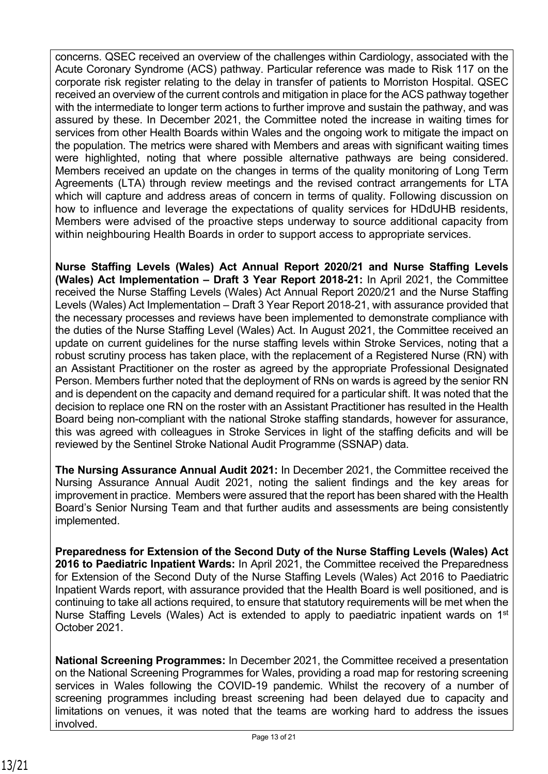concerns. QSEC received an overview of the challenges within Cardiology, associated with the Acute Coronary Syndrome (ACS) pathway. Particular reference was made to Risk 117 on the corporate risk register relating to the delay in transfer of patients to Morriston Hospital. QSEC received an overview of the current controls and mitigation in place for the ACS pathway together with the intermediate to longer term actions to further improve and sustain the pathway, and was assured by these. In December 2021, the Committee noted the increase in waiting times for services from other Health Boards within Wales and the ongoing work to mitigate the impact on the population. The metrics were shared with Members and areas with significant waiting times were highlighted, noting that where possible alternative pathways are being considered. Members received an update on the changes in terms of the quality monitoring of Long Term Agreements (LTA) through review meetings and the revised contract arrangements for LTA which will capture and address areas of concern in terms of quality. Following discussion on how to influence and leverage the expectations of quality services for HDdUHB residents, Members were advised of the proactive steps underway to source additional capacity from within neighbouring Health Boards in order to support access to appropriate services.

**Nurse Staffing Levels (Wales) Act Annual Report 2020/21 and Nurse Staffing Levels (Wales) Act Implementation – Draft 3 Year Report 2018-21:** In April 2021, the Committee received the Nurse Staffing Levels (Wales) Act Annual Report 2020/21 and the Nurse Staffing Levels (Wales) Act Implementation – Draft 3 Year Report 2018-21, with assurance provided that the necessary processes and reviews have been implemented to demonstrate compliance with the duties of the Nurse Staffing Level (Wales) Act. In August 2021, the Committee received an update on current guidelines for the nurse staffing levels within Stroke Services, noting that a robust scrutiny process has taken place, with the replacement of a Registered Nurse (RN) with an Assistant Practitioner on the roster as agreed by the appropriate Professional Designated Person. Members further noted that the deployment of RNs on wards is agreed by the senior RN and is dependent on the capacity and demand required for a particular shift. It was noted that the decision to replace one RN on the roster with an Assistant Practitioner has resulted in the Health Board being non-compliant with the national Stroke staffing standards, however for assurance, this was agreed with colleagues in Stroke Services in light of the staffing deficits and will be reviewed by the Sentinel Stroke National Audit Programme (SSNAP) data.

**The Nursing Assurance Annual Audit 2021:** In December 2021, the Committee received the Nursing Assurance Annual Audit 2021, noting the salient findings and the key areas for improvement in practice. Members were assured that the report has been shared with the Health Board's Senior Nursing Team and that further audits and assessments are being consistently implemented.

**Preparedness for Extension of the Second Duty of the Nurse Staffing Levels (Wales) Act 2016 to Paediatric Inpatient Wards:** In April 2021, the Committee received the Preparedness for Extension of the Second Duty of the Nurse Staffing Levels (Wales) Act 2016 to Paediatric Inpatient Wards report, with assurance provided that the Health Board is well positioned, and is continuing to take all actions required, to ensure that statutory requirements will be met when the Nurse Staffing Levels (Wales) Act is extended to apply to paediatric inpatient wards on 1<sup>st</sup> October 2021.

**National Screening Programmes:** In December 2021, the Committee received a presentation on the National Screening Programmes for Wales, providing a road map for restoring screening services in Wales following the COVID-19 pandemic. Whilst the recovery of a number of screening programmes including breast screening had been delayed due to capacity and limitations on venues, it was noted that the teams are working hard to address the issues involved.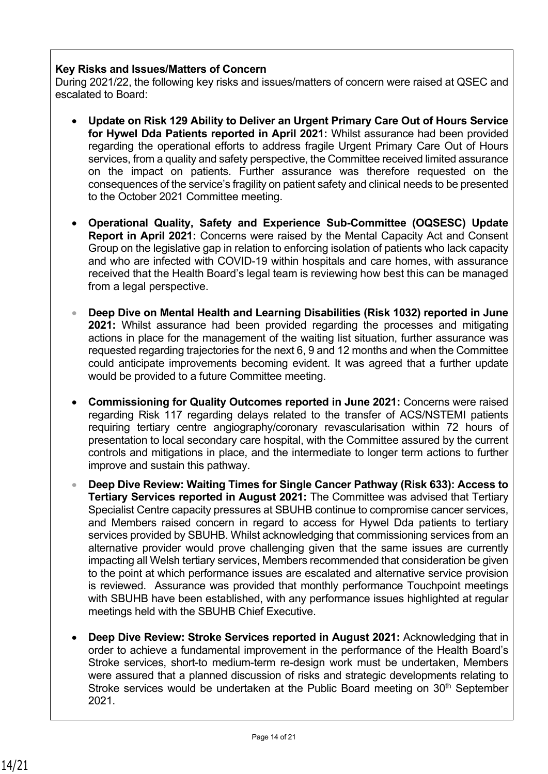#### **Key Risks and Issues/Matters of Concern**

During 2021/22, the following key risks and issues/matters of concern were raised at QSEC and escalated to Board:

- **Update on Risk 129 Ability to Deliver an Urgent Primary Care Out of Hours Service for Hywel Dda Patients reported in April 2021:** Whilst assurance had been provided regarding the operational efforts to address fragile Urgent Primary Care Out of Hours services, from a quality and safety perspective, the Committee received limited assurance on the impact on patients. Further assurance was therefore requested on the consequences of the service's fragility on patient safety and clinical needs to be presented to the October 2021 Committee meeting.
- **Operational Quality, Safety and Experience Sub-Committee (OQSESC) Update Report in April 2021:** Concerns were raised by the Mental Capacity Act and Consent Group on the legislative gap in relation to enforcing isolation of patients who lack capacity and who are infected with COVID-19 within hospitals and care homes, with assurance received that the Health Board's legal team is reviewing how best this can be managed from a legal perspective.
- **Deep Dive on Mental Health and Learning Disabilities (Risk 1032) reported in June 2021:** Whilst assurance had been provided regarding the processes and mitigating actions in place for the management of the waiting list situation, further assurance was requested regarding trajectories for the next 6, 9 and 12 months and when the Committee could anticipate improvements becoming evident. It was agreed that a further update would be provided to a future Committee meeting.
- **Commissioning for Quality Outcomes reported in June 2021:** Concerns were raised regarding Risk 117 regarding delays related to the transfer of ACS/NSTEMI patients requiring tertiary centre angiography/coronary revascularisation within 72 hours of presentation to local secondary care hospital, with the Committee assured by the current controls and mitigations in place, and the intermediate to longer term actions to further improve and sustain this pathway.
- **Deep Dive Review: Waiting Times for Single Cancer Pathway (Risk 633): Access to Tertiary Services reported in August 2021:** The Committee was advised that Tertiary Specialist Centre capacity pressures at SBUHB continue to compromise cancer services, and Members raised concern in regard to access for Hywel Dda patients to tertiary services provided by SBUHB. Whilst acknowledging that commissioning services from an alternative provider would prove challenging given that the same issues are currently impacting all Welsh tertiary services, Members recommended that consideration be given to the point at which performance issues are escalated and alternative service provision is reviewed. Assurance was provided that monthly performance Touchpoint meetings with SBUHB have been established, with any performance issues highlighted at regular meetings held with the SBUHB Chief Executive.
- **Deep Dive Review: Stroke Services reported in August 2021:** Acknowledging that in order to achieve a fundamental improvement in the performance of the Health Board's Stroke services, short-to medium-term re-design work must be undertaken, Members were assured that a planned discussion of risks and strategic developments relating to Stroke services would be undertaken at the Public Board meeting on 30<sup>th</sup> September 2021.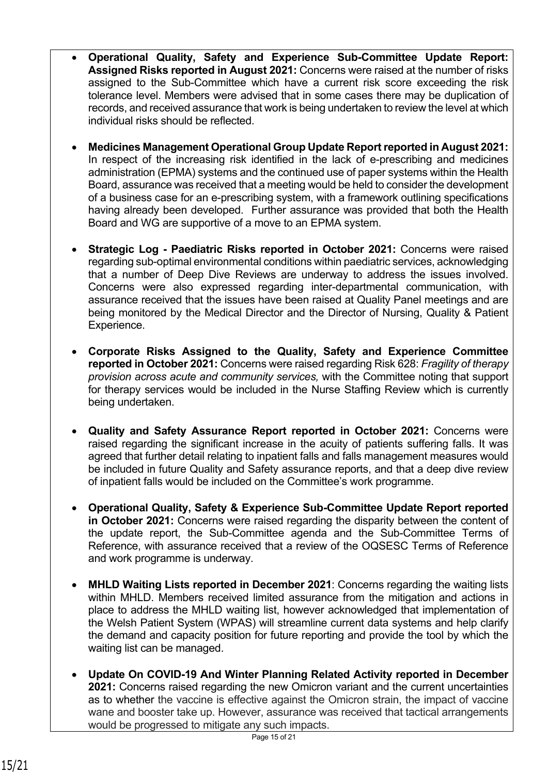- **Operational Quality, Safety and Experience Sub-Committee Update Report: Assigned Risks reported in August 2021:** Concerns were raised at the number of risks assigned to the Sub-Committee which have a current risk score exceeding the risk tolerance level. Members were advised that in some cases there may be duplication of records, and received assurance that work is being undertaken to review the level at which individual risks should be reflected.
- **Medicines Management Operational Group Update Report reported in August 2021:**  In respect of the increasing risk identified in the lack of e-prescribing and medicines administration (EPMA) systems and the continued use of paper systems within the Health Board, assurance was received that a meeting would be held to consider the development of a business case for an e-prescribing system, with a framework outlining specifications having already been developed. Further assurance was provided that both the Health Board and WG are supportive of a move to an EPMA system.
- **Strategic Log Paediatric Risks reported in October 2021:** Concerns were raised regarding sub-optimal environmental conditions within paediatric services, acknowledging that a number of Deep Dive Reviews are underway to address the issues involved. Concerns were also expressed regarding inter-departmental communication, with assurance received that the issues have been raised at Quality Panel meetings and are being monitored by the Medical Director and the Director of Nursing, Quality & Patient Experience.
- **Corporate Risks Assigned to the Quality, Safety and Experience Committee reported in October 2021:** Concerns were raised regarding Risk 628: *Fragility of therapy provision across acute and community services,* with the Committee noting that support for therapy services would be included in the Nurse Staffing Review which is currently being undertaken.
- **Quality and Safety Assurance Report reported in October 2021:** Concerns were raised regarding the significant increase in the acuity of patients suffering falls. It was agreed that further detail relating to inpatient falls and falls management measures would be included in future Quality and Safety assurance reports, and that a deep dive review of inpatient falls would be included on the Committee's work programme.
- **Operational Quality, Safety & Experience Sub-Committee Update Report reported in October 2021:** Concerns were raised regarding the disparity between the content of the update report, the Sub-Committee agenda and the Sub-Committee Terms of Reference, with assurance received that a review of the OQSESC Terms of Reference and work programme is underway.
- **MHLD Waiting Lists reported in December 2021**: Concerns regarding the waiting lists within MHLD. Members received limited assurance from the mitigation and actions in place to address the MHLD waiting list, however acknowledged that implementation of the Welsh Patient System (WPAS) will streamline current data systems and help clarify the demand and capacity position for future reporting and provide the tool by which the waiting list can be managed.
- **Update On COVID-19 And Winter Planning Related Activity reported in December 2021:** Concerns raised regarding the new Omicron variant and the current uncertainties as to whether the vaccine is effective against the Omicron strain, the impact of vaccine wane and booster take up. However, assurance was received that tactical arrangements would be progressed to mitigate any such impacts.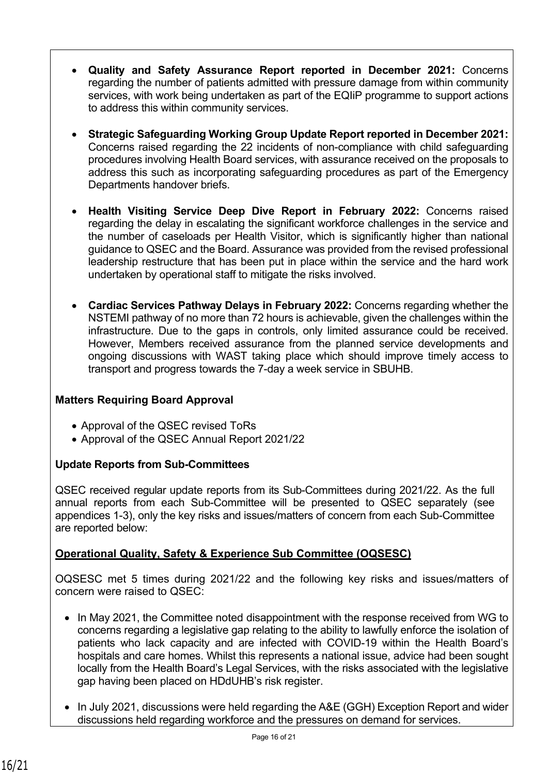- **Quality and Safety Assurance Report reported in December 2021:** Concerns regarding the number of patients admitted with pressure damage from within community services, with work being undertaken as part of the EQIIP programme to support actions to address this within community services.
- **Strategic Safeguarding Working Group Update Report reported in December 2021:**  Concerns raised regarding the 22 incidents of non-compliance with child safeguarding procedures involving Health Board services, with assurance received on the proposals to address this such as incorporating safeguarding procedures as part of the Emergency Departments handover briefs.
- **Health Visiting Service Deep Dive Report in February 2022:** Concerns raised regarding the delay in escalating the significant workforce challenges in the service and the number of caseloads per Health Visitor, which is significantly higher than national guidance to QSEC and the Board. Assurance was provided from the revised professional leadership restructure that has been put in place within the service and the hard work undertaken by operational staff to mitigate the risks involved.
- **Cardiac Services Pathway Delays in February 2022:** Concerns regarding whether the NSTEMI pathway of no more than 72 hours is achievable, given the challenges within the infrastructure. Due to the gaps in controls, only limited assurance could be received. However, Members received assurance from the planned service developments and ongoing discussions with WAST taking place which should improve timely access to transport and progress towards the 7-day a week service in SBUHB.

# **Matters Requiring Board Approval**

- Approval of the QSEC revised ToRs
- Approval of the QSEC Annual Report 2021/22

## **Update Reports from Sub-Committees**

QSEC received regular update reports from its Sub-Committees during 2021/22. As the full annual reports from each Sub-Committee will be presented to QSEC separately (see appendices 1-3), only the key risks and issues/matters of concern from each Sub-Committee are reported below:

# **Operational Quality, Safety & Experience Sub Committee (OQSESC)**

OQSESC met 5 times during 2021/22 and the following key risks and issues/matters of concern were raised to QSEC:

- In May 2021, the Committee noted disappointment with the response received from WG to concerns regarding a legislative gap relating to the ability to lawfully enforce the isolation of patients who lack capacity and are infected with COVID-19 within the Health Board's hospitals and care homes. Whilst this represents a national issue, advice had been sought locally from the Health Board's Legal Services, with the risks associated with the legislative gap having been placed on HDdUHB's risk register.
- In July 2021, discussions were held regarding the A&E (GGH) Exception Report and wider discussions held regarding workforce and the pressures on demand for services.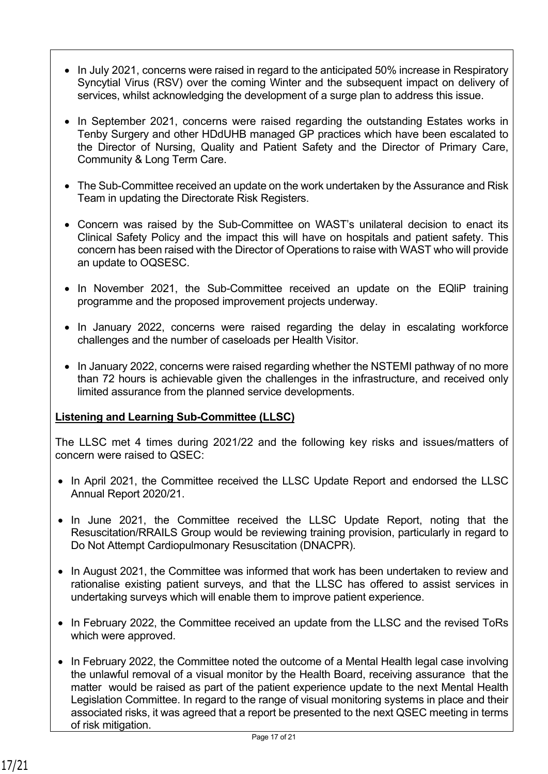- In July 2021, concerns were raised in regard to the anticipated 50% increase in Respiratory Syncytial Virus (RSV) over the coming Winter and the subsequent impact on delivery of services, whilst acknowledging the development of a surge plan to address this issue.
- In September 2021, concerns were raised regarding the outstanding Estates works in Tenby Surgery and other HDdUHB managed GP practices which have been escalated to the Director of Nursing, Quality and Patient Safety and the Director of Primary Care, Community & Long Term Care.
- The Sub-Committee received an update on the work undertaken by the Assurance and Risk Team in updating the Directorate Risk Registers.
- Concern was raised by the Sub-Committee on WAST's unilateral decision to enact its Clinical Safety Policy and the impact this will have on hospitals and patient safety. This concern has been raised with the Director of Operations to raise with WAST who will provide an update to OQSESC.
- In November 2021, the Sub-Committee received an update on the EQliP training programme and the proposed improvement projects underway.
- In January 2022, concerns were raised regarding the delay in escalating workforce challenges and the number of caseloads per Health Visitor.
- In January 2022, concerns were raised regarding whether the NSTEMI pathway of no more than 72 hours is achievable given the challenges in the infrastructure, and received only limited assurance from the planned service developments.

## **Listening and Learning Sub-Committee (LLSC)**

The LLSC met 4 times during 2021/22 and the following key risks and issues/matters of concern were raised to QSEC:

- In April 2021, the Committee received the LLSC Update Report and endorsed the LLSC Annual Report 2020/21.
- In June 2021, the Committee received the LLSC Update Report, noting that the Resuscitation/RRAILS Group would be reviewing training provision, particularly in regard to Do Not Attempt Cardiopulmonary Resuscitation (DNACPR).
- In August 2021, the Committee was informed that work has been undertaken to review and rationalise existing patient surveys, and that the LLSC has offered to assist services in undertaking surveys which will enable them to improve patient experience.
- In February 2022, the Committee received an update from the LLSC and the revised ToRs which were approved.
- In February 2022, the Committee noted the outcome of a Mental Health legal case involving the unlawful removal of a visual monitor by the Health Board, receiving assurance that the matter would be raised as part of the patient experience update to the next Mental Health Legislation Committee. In regard to the range of visual monitoring systems in place and their associated risks, it was agreed that a report be presented to the next QSEC meeting in terms of risk mitigation.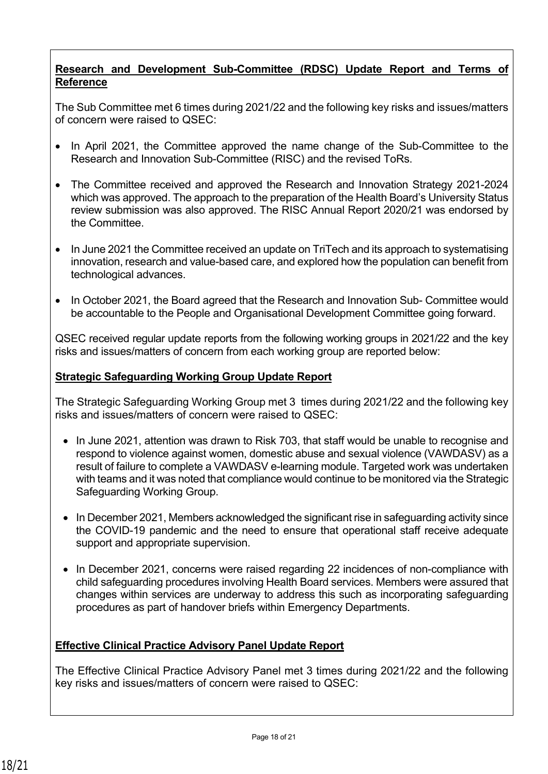## **Research and Development Sub-Committee (RDSC) Update Report and Terms of Reference**

The Sub Committee met 6 times during 2021/22 and the following key risks and issues/matters of concern were raised to QSEC:

- In April 2021, the Committee approved the name change of the Sub-Committee to the Research and Innovation Sub-Committee (RISC) and the revised ToRs.
- The Committee received and approved the Research and Innovation Strategy 2021-2024 which was approved. The approach to the preparation of the Health Board's University Status review submission was also approved. The RISC Annual Report 2020/21 was endorsed by the Committee.
- In June 2021 the Committee received an update on TriTech and its approach to systematising innovation, research and value-based care, and explored how the population can benefit from technological advances.
- In October 2021, the Board agreed that the Research and Innovation Sub- Committee would be accountable to the People and Organisational Development Committee going forward.

QSEC received regular update reports from the following working groups in 2021/22 and the key risks and issues/matters of concern from each working group are reported below:

## **Strategic Safeguarding Working Group Update Report**

The Strategic Safeguarding Working Group met 3 times during 2021/22 and the following key risks and issues/matters of concern were raised to QSEC:

- In June 2021, attention was drawn to Risk 703, that staff would be unable to recognise and respond to violence against women, domestic abuse and sexual violence (VAWDASV) as a result of failure to complete a VAWDASV e-learning module. Targeted work was undertaken with teams and it was noted that compliance would continue to be monitored via the Strategic Safeguarding Working Group.
- In December 2021, Members acknowledged the significant rise in safeguarding activity since the COVID-19 pandemic and the need to ensure that operational staff receive adequate support and appropriate supervision.
- In December 2021, concerns were raised regarding 22 incidences of non-compliance with child safeguarding procedures involving Health Board services. Members were assured that changes within services are underway to address this such as incorporating safeguarding procedures as part of handover briefs within Emergency Departments.

## **Effective Clinical Practice Advisory Panel Update Report**

The Effective Clinical Practice Advisory Panel met 3 times during 2021/22 and the following key risks and issues/matters of concern were raised to QSEC: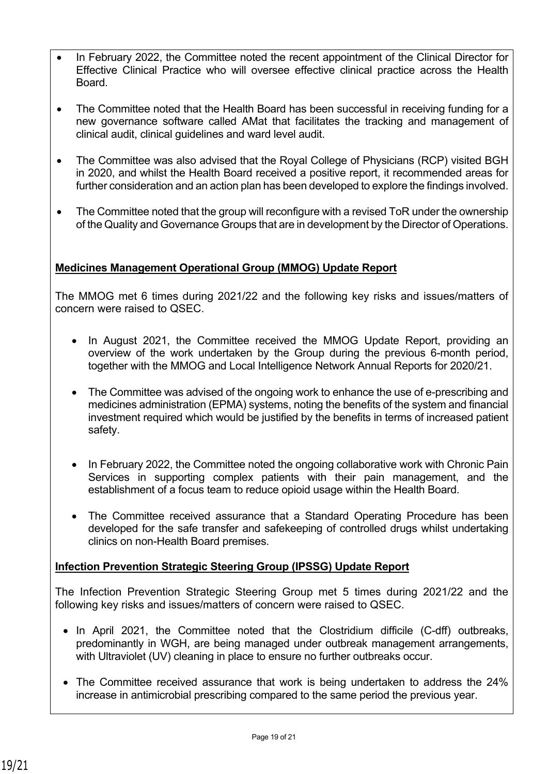- In February 2022, the Committee noted the recent appointment of the Clinical Director for Effective Clinical Practice who will oversee effective clinical practice across the Health Board.
- The Committee noted that the Health Board has been successful in receiving funding for a new governance software called AMat that facilitates the tracking and management of clinical audit, clinical guidelines and ward level audit.
- The Committee was also advised that the Royal College of Physicians (RCP) visited BGH in 2020, and whilst the Health Board received a positive report, it recommended areas for further consideration and an action plan has been developed to explore the findings involved.
- The Committee noted that the group will reconfigure with a revised ToR under the ownership of the Quality and Governance Groups that are in development by the Director of Operations.

## **Medicines Management Operational Group (MMOG) Update Report**

The MMOG met 6 times during 2021/22 and the following key risks and issues/matters of concern were raised to QSEC.

- In August 2021, the Committee received the MMOG Update Report, providing an overview of the work undertaken by the Group during the previous 6-month period, together with the MMOG and Local Intelligence Network Annual Reports for 2020/21.
- The Committee was advised of the ongoing work to enhance the use of e-prescribing and medicines administration (EPMA) systems, noting the benefits of the system and financial investment required which would be justified by the benefits in terms of increased patient safety.
- In February 2022, the Committee noted the ongoing collaborative work with Chronic Pain Services in supporting complex patients with their pain management, and the establishment of a focus team to reduce opioid usage within the Health Board.
- The Committee received assurance that a Standard Operating Procedure has been developed for the safe transfer and safekeeping of controlled drugs whilst undertaking clinics on non-Health Board premises.

## **Infection Prevention Strategic Steering Group (IPSSG) Update Report**

The Infection Prevention Strategic Steering Group met 5 times during 2021/22 and the following key risks and issues/matters of concern were raised to QSEC.

- In April 2021, the Committee noted that the Clostridium difficile (C-dff) outbreaks, predominantly in WGH, are being managed under outbreak management arrangements, with Ultraviolet (UV) cleaning in place to ensure no further outbreaks occur.
- The Committee received assurance that work is being undertaken to address the 24% increase in antimicrobial prescribing compared to the same period the previous year.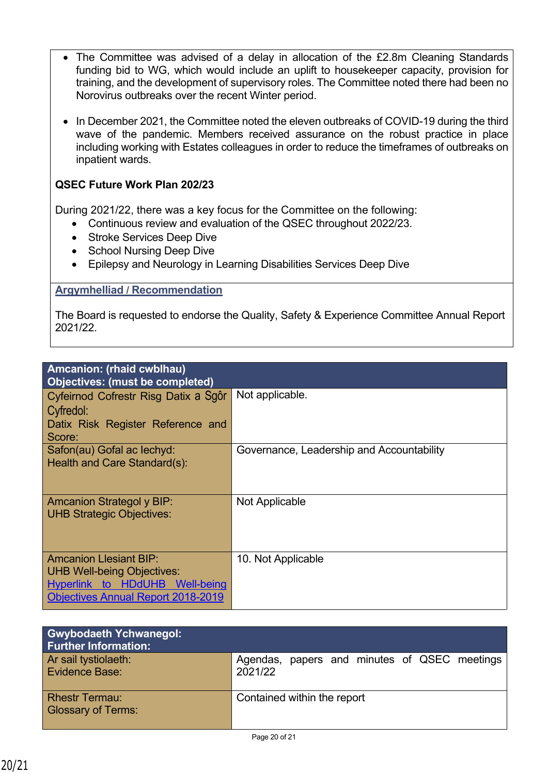- The Committee was advised of a delay in allocation of the £2.8m Cleaning Standards funding bid to WG, which would include an uplift to housekeeper capacity, provision for training, and the development of supervisory roles. The Committee noted there had been no Norovirus outbreaks over the recent Winter period.
- In December 2021, the Committee noted the eleven outbreaks of COVID-19 during the third wave of the pandemic. Members received assurance on the robust practice in place including working with Estates colleagues in order to reduce the timeframes of outbreaks on inpatient wards.

#### **QSEC Future Work Plan 202/23**

During 2021/22, there was a key focus for the Committee on the following:

- Continuous review and evaluation of the QSEC throughout 2022/23.
- Stroke Services Deep Dive
- School Nursing Deep Dive
- Epilepsy and Neurology in Learning Disabilities Services Deep Dive

#### **Argymhelliad / Recommendation**

The Board is requested to endorse the Quality, Safety & Experience Committee Annual Report 2021/22.

| Amcanion: (rhaid cwblhau)<br><b>Objectives: (must be completed)</b>                                                                               |                                           |  |
|---------------------------------------------------------------------------------------------------------------------------------------------------|-------------------------------------------|--|
| Cyfeirnod Cofrestr Risg Datix a Sgôr<br>Cyfredol:<br>Datix Risk Register Reference and<br>Score:                                                  | Not applicable.                           |  |
| Safon(au) Gofal ac lechyd:<br>Health and Care Standard(s):                                                                                        | Governance, Leadership and Accountability |  |
| <b>Amcanion Strategol y BIP:</b><br><b>UHB Strategic Objectives:</b>                                                                              | Not Applicable                            |  |
| <b>Amcanion Llesiant BIP:</b><br><b>UHB Well-being Objectives:</b><br>Hyperlink to HDdUHB Well-being<br><b>Objectives Annual Report 2018-2019</b> | 10. Not Applicable                        |  |

| <b>Gwybodaeth Ychwanegol:</b><br><b>Further Information:</b> |                                                         |
|--------------------------------------------------------------|---------------------------------------------------------|
| Ar sail tystiolaeth:<br>Evidence Base:                       | Agendas, papers and minutes of QSEC meetings<br>2021/22 |
| <b>Rhestr Termau:</b><br><b>Glossary of Terms:</b>           | Contained within the report                             |